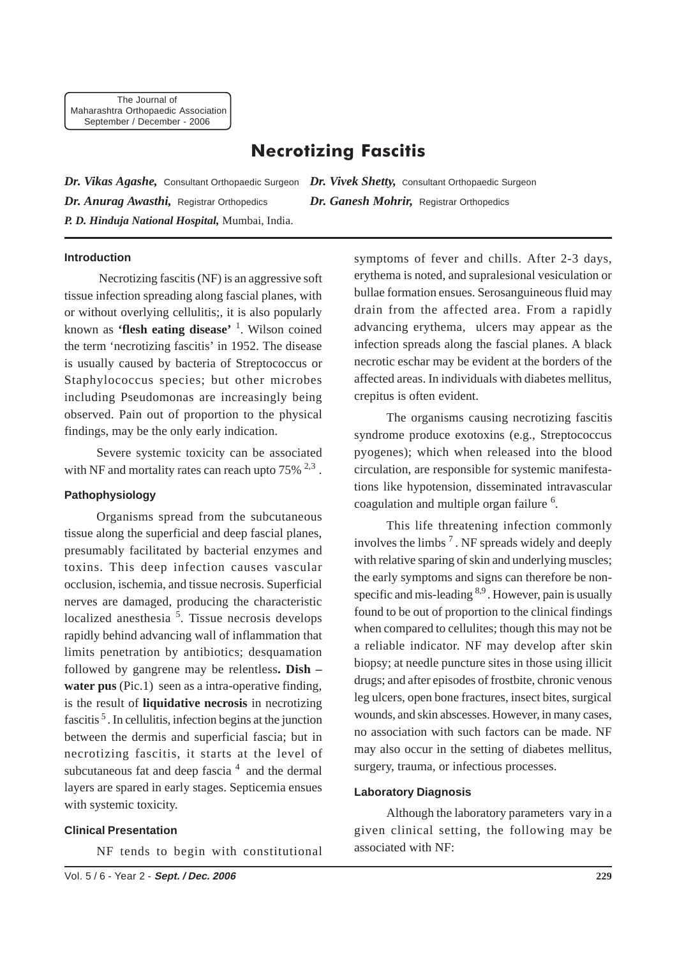# **Necrotizing Fascitis**

*Dr. Vikas Agashe,* Consultant Orthopaedic Surgeon *Dr. Vivek Shetty,* Consultant Orthopaedic Surgeon *Dr. Anurag Awasthi,* Registrar Orthopedics *Dr. Ganesh Mohrir,* Registrar Orthopedics *P. D. Hinduja National Hospital,* Mumbai, India.

### **Introduction**

 Necrotizing fascitis (NF) is an aggressive soft tissue infection spreading along fascial planes, with or without overlying cellulitis;, it is also popularly known as **'flesh eating disease'** <sup>1</sup> . Wilson coined the term 'necrotizing fascitis' in 1952. The disease is usually caused by bacteria of Streptococcus or Staphylococcus species; but other microbes including Pseudomonas are increasingly being observed. Pain out of proportion to the physical findings, may be the only early indication.

Severe systemic toxicity can be associated with NF and mortality rates can reach upto  $75\%$   $^{2,3}$ .

#### **Pathophysiology**

Organisms spread from the subcutaneous tissue along the superficial and deep fascial planes, presumably facilitated by bacterial enzymes and toxins. This deep infection causes vascular occlusion, ischemia, and tissue necrosis. Superficial nerves are damaged, producing the characteristic localized anesthesia<sup>5</sup>. Tissue necrosis develops rapidly behind advancing wall of inflammation that limits penetration by antibiotics; desquamation followed by gangrene may be relentless**. Dish –** water pus (Pic.1) seen as a intra-operative finding, is the result of **liquidative necrosis** in necrotizing fascitis<sup>5</sup>. In cellulitis, infection begins at the junction between the dermis and superficial fascia; but in necrotizing fascitis, it starts at the level of subcutaneous fat and deep fascia  $4$  and the dermal layers are spared in early stages. Septicemia ensues with systemic toxicity.

#### **Clinical Presentation**

NF tends to begin with constitutional

symptoms of fever and chills. After 2-3 days, erythema is noted, and supralesional vesiculation or bullae formation ensues. Serosanguineous fluid may drain from the affected area. From a rapidly advancing erythema, ulcers may appear as the infection spreads along the fascial planes. A black necrotic eschar may be evident at the borders of the affected areas. In individuals with diabetes mellitus, crepitus is often evident.

The organisms causing necrotizing fascitis syndrome produce exotoxins (e.g., Streptococcus pyogenes); which when released into the blood circulation, are responsible for systemic manifestations like hypotension, disseminated intravascular coagulation and multiple organ failure <sup>6</sup>.

This life threatening infection commonly involves the limbs 7 . NF spreads widely and deeply with relative sparing of skin and underlying muscles; the early symptoms and signs can therefore be nonspecific and mis-leading <sup>8,9</sup>. However, pain is usually found to be out of proportion to the clinical findings when compared to cellulites; though this may not be a reliable indicator. NF may develop after skin biopsy; at needle puncture sites in those using illicit drugs; and after episodes of frostbite, chronic venous leg ulcers, open bone fractures, insect bites, surgical wounds, and skin abscesses. However, in many cases, no association with such factors can be made. NF may also occur in the setting of diabetes mellitus, surgery, trauma, or infectious processes.

### **Laboratory Diagnosis**

Although the laboratory parameters vary in a given clinical setting, the following may be associated with NF: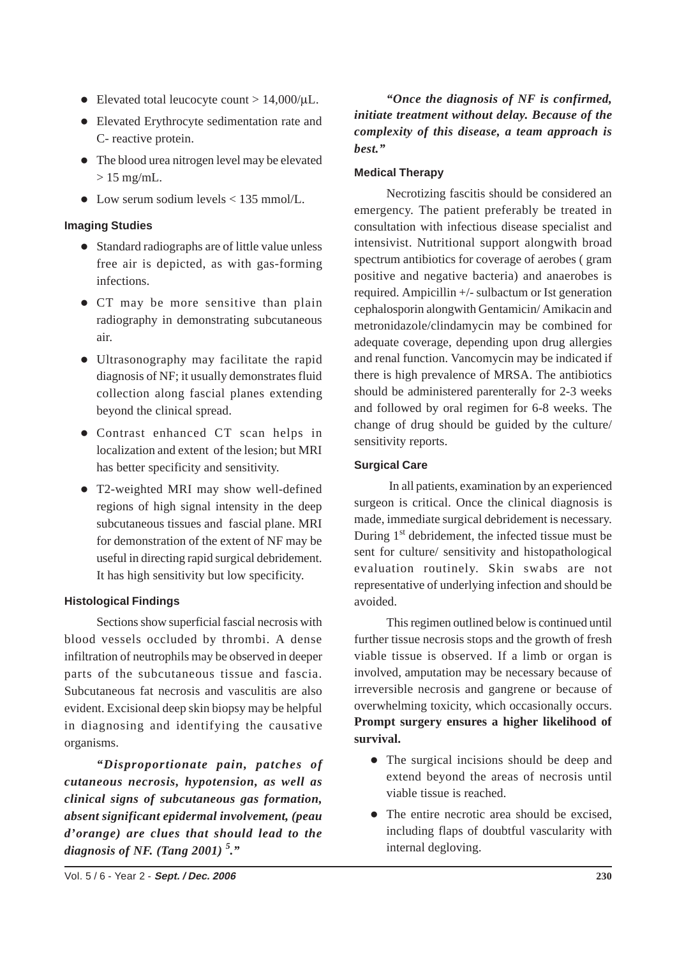- Elevated total leucocyte count  $> 14,000/\mu L$ .
- Elevated Erythrocyte sedimentation rate and C- reactive protein.
- The blood urea nitrogen level may be elevated  $> 15$  mg/mL.
- Low serum sodium levels < 135 mmol/L.

### **Imaging Studies**

- Standard radiographs are of little value unless free air is depicted, as with gas-forming infections.
- CT may be more sensitive than plain radiography in demonstrating subcutaneous air.
- Ultrasonography may facilitate the rapid diagnosis of NF; it usually demonstrates fluid collection along fascial planes extending beyond the clinical spread.
- Contrast enhanced CT scan helps in localization and extent of the lesion; but MRI has better specificity and sensitivity.
- T2-weighted MRI may show well-defined regions of high signal intensity in the deep subcutaneous tissues and fascial plane. MRI for demonstration of the extent of NF may be useful in directing rapid surgical debridement. It has high sensitivity but low specificity.

### **Histological Findings**

Sections show superficial fascial necrosis with blood vessels occluded by thrombi. A dense infiltration of neutrophils may be observed in deeper parts of the subcutaneous tissue and fascia. Subcutaneous fat necrosis and vasculitis are also evident. Excisional deep skin biopsy may be helpful in diagnosing and identifying the causative organisms.

*"Disproportionate pain, patches of cutaneous necrosis, hypotension, as well as clinical signs of subcutaneous gas formation, absent significant epidermal involvement, (peau d'orange) are clues that should lead to the diagnosis of NF. (Tang 2001) <sup>5</sup> ."*

*"Once the diagnosis of NF is confirmed, initiate treatment without delay. Because of the complexity of this disease, a team approach is best."*

# **Medical Therapy**

Necrotizing fascitis should be considered an emergency. The patient preferably be treated in consultation with infectious disease specialist and intensivist. Nutritional support alongwith broad spectrum antibiotics for coverage of aerobes ( gram positive and negative bacteria) and anaerobes is required. Ampicillin +/- sulbactum or Ist generation cephalosporin alongwith Gentamicin/ Amikacin and metronidazole/clindamycin may be combined for adequate coverage, depending upon drug allergies and renal function. Vancomycin may be indicated if there is high prevalence of MRSA. The antibiotics should be administered parenterally for 2-3 weeks and followed by oral regimen for 6-8 weeks. The change of drug should be guided by the culture/ sensitivity reports.

### **Surgical Care**

In all patients, examination by an experienced surgeon is critical. Once the clinical diagnosis is made, immediate surgical debridement is necessary. During  $1<sup>st</sup>$  debridement, the infected tissue must be sent for culture/ sensitivity and histopathological evaluation routinely. Skin swabs are not representative of underlying infection and should be avoided.

This regimen outlined below is continued until further tissue necrosis stops and the growth of fresh viable tissue is observed. If a limb or organ is involved, amputation may be necessary because of irreversible necrosis and gangrene or because of overwhelming toxicity, which occasionally occurs. **Prompt surgery ensures a higher likelihood of survival.**

- The surgical incisions should be deep and extend beyond the areas of necrosis until viable tissue is reached.
- The entire necrotic area should be excised, including flaps of doubtful vascularity with internal degloving.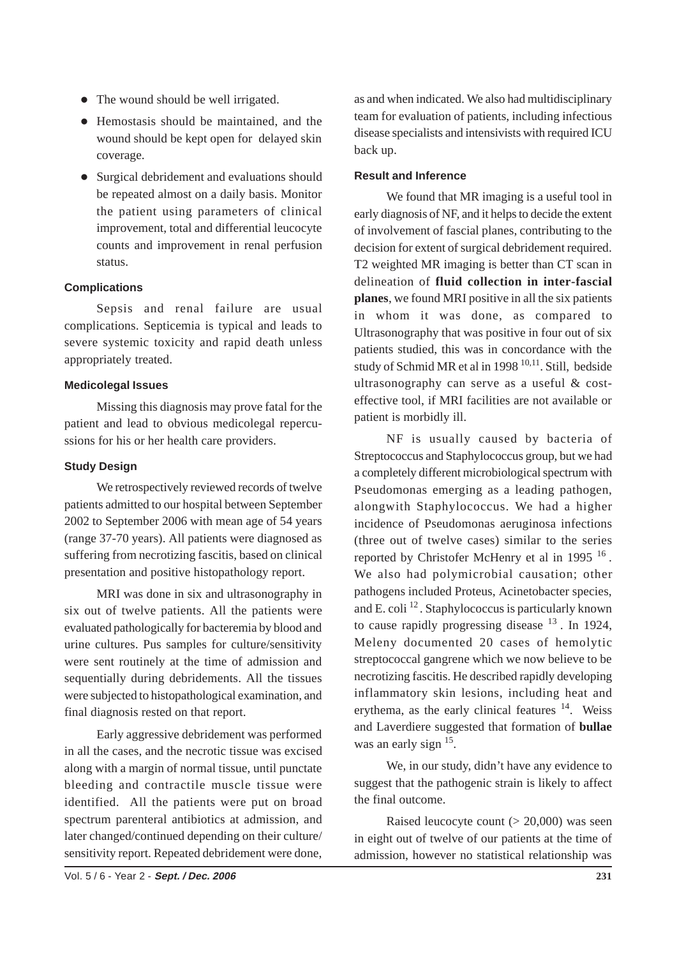- The wound should be well irrigated.
- Hemostasis should be maintained, and the wound should be kept open for delayed skin coverage.
- Surgical debridement and evaluations should be repeated almost on a daily basis. Monitor the patient using parameters of clinical improvement, total and differential leucocyte counts and improvement in renal perfusion status.

# **Complications**

Sepsis and renal failure are usual complications. Septicemia is typical and leads to severe systemic toxicity and rapid death unless appropriately treated.

### **Medicolegal Issues**

Missing this diagnosis may prove fatal for the patient and lead to obvious medicolegal repercussions for his or her health care providers.

# **Study Design**

We retrospectively reviewed records of twelve patients admitted to our hospital between September 2002 to September 2006 with mean age of 54 years (range 37-70 years). All patients were diagnosed as suffering from necrotizing fascitis, based on clinical presentation and positive histopathology report.

MRI was done in six and ultrasonography in six out of twelve patients. All the patients were evaluated pathologically for bacteremia by blood and urine cultures. Pus samples for culture/sensitivity were sent routinely at the time of admission and sequentially during debridements. All the tissues were subjected to histopathological examination, and final diagnosis rested on that report.

Early aggressive debridement was performed in all the cases, and the necrotic tissue was excised along with a margin of normal tissue, until punctate bleeding and contractile muscle tissue were identified. All the patients were put on broad spectrum parenteral antibiotics at admission, and later changed/continued depending on their culture/ sensitivity report. Repeated debridement were done, as and when indicated. We also had multidisciplinary team for evaluation of patients, including infectious disease specialists and intensivists with required ICU back up.

# **Result and Inference**

We found that MR imaging is a useful tool in early diagnosis of NF, and it helps to decide the extent of involvement of fascial planes, contributing to the decision for extent of surgical debridement required. T2 weighted MR imaging is better than CT scan in delineation of **fluid collection in inter-fascial planes**, we found MRI positive in all the six patients in whom it was done, as compared to Ultrasonography that was positive in four out of six patients studied, this was in concordance with the study of Schmid MR et al in 1998<sup>10,11</sup>. Still, bedside ultrasonography can serve as a useful & costeffective tool, if MRI facilities are not available or patient is morbidly ill.

NF is usually caused by bacteria of Streptococcus and Staphylococcus group, but we had a completely different microbiological spectrum with Pseudomonas emerging as a leading pathogen, alongwith Staphylococcus. We had a higher incidence of Pseudomonas aeruginosa infections (three out of twelve cases) similar to the series reported by Christofer McHenry et al in 1995  $16$ . We also had polymicrobial causation; other pathogens included Proteus, Acinetobacter species, and E. coli  $^{12}$ . Staphylococcus is particularly known to cause rapidly progressing disease  $^{13}$ . In 1924, Meleny documented 20 cases of hemolytic streptococcal gangrene which we now believe to be necrotizing fascitis. He described rapidly developing inflammatory skin lesions, including heat and erythema, as the early clinical features  $14$ . Weiss and Laverdiere suggested that formation of **bullae** was an early sign <sup>15</sup>.

We, in our study, didn't have any evidence to suggest that the pathogenic strain is likely to affect the final outcome.

Raised leucocyte count  $(> 20,000)$  was seen in eight out of twelve of our patients at the time of admission, however no statistical relationship was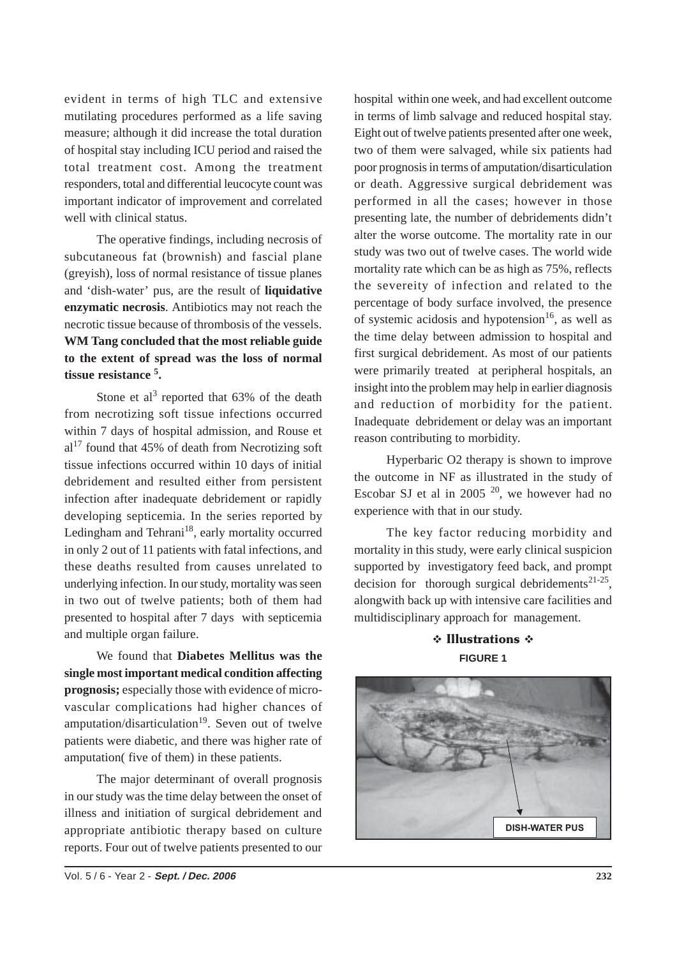evident in terms of high TLC and extensive mutilating procedures performed as a life saving measure; although it did increase the total duration of hospital stay including ICU period and raised the total treatment cost. Among the treatment responders, total and differential leucocyte count was important indicator of improvement and correlated well with clinical status.

The operative findings, including necrosis of subcutaneous fat (brownish) and fascial plane (greyish), loss of normal resistance of tissue planes and 'dish-water' pus, are the result of **liquidative enzymatic necrosis**. Antibiotics may not reach the necrotic tissue because of thrombosis of the vessels. **WM Tang concluded that the most reliable guide to the extent of spread was the loss of normal tissue resistance <sup>5</sup> .**

Stone et al<sup>3</sup> reported that  $63\%$  of the death from necrotizing soft tissue infections occurred within 7 days of hospital admission, and Rouse et  $al<sup>17</sup>$  found that 45% of death from Necrotizing soft tissue infections occurred within 10 days of initial debridement and resulted either from persistent infection after inadequate debridement or rapidly developing septicemia. In the series reported by Ledingham and Tehrani $18$ , early mortality occurred in only 2 out of 11 patients with fatal infections, and these deaths resulted from causes unrelated to underlying infection. In our study, mortality was seen in two out of twelve patients; both of them had presented to hospital after 7 days with septicemia and multiple organ failure.

We found that **Diabetes Mellitus was the single most important medical condition affecting prognosis;** especially those with evidence of microvascular complications had higher chances of amputation/disarticulation $19$ . Seven out of twelve patients were diabetic, and there was higher rate of amputation( five of them) in these patients.

The major determinant of overall prognosis in our study was the time delay between the onset of illness and initiation of surgical debridement and appropriate antibiotic therapy based on culture reports. Four out of twelve patients presented to our hospital within one week, and had excellent outcome in terms of limb salvage and reduced hospital stay. Eight out of twelve patients presented after one week, two of them were salvaged, while six patients had poor prognosis in terms of amputation/disarticulation or death. Aggressive surgical debridement was performed in all the cases; however in those presenting late, the number of debridements didn't alter the worse outcome. The mortality rate in our study was two out of twelve cases. The world wide mortality rate which can be as high as 75%, reflects the severeity of infection and related to the percentage of body surface involved, the presence of systemic acidosis and hypotension<sup>16</sup>, as well as the time delay between admission to hospital and first surgical debridement. As most of our patients were primarily treated at peripheral hospitals, an insight into the problem may help in earlier diagnosis and reduction of morbidity for the patient. Inadequate debridement or delay was an important reason contributing to morbidity.

Hyperbaric O2 therapy is shown to improve the outcome in NF as illustrated in the study of Escobar SJ et al in 2005  $^{20}$ , we however had no experience with that in our study.

The key factor reducing morbidity and mortality in this study, were early clinical suspicion supported by investigatory feed back, and prompt decision for thorough surgical debridements<sup>21-25</sup>, alongwith back up with intensive care facilities and multidisciplinary approach for management.

> **᠅ Illustrations ☆ FIGURE 1**

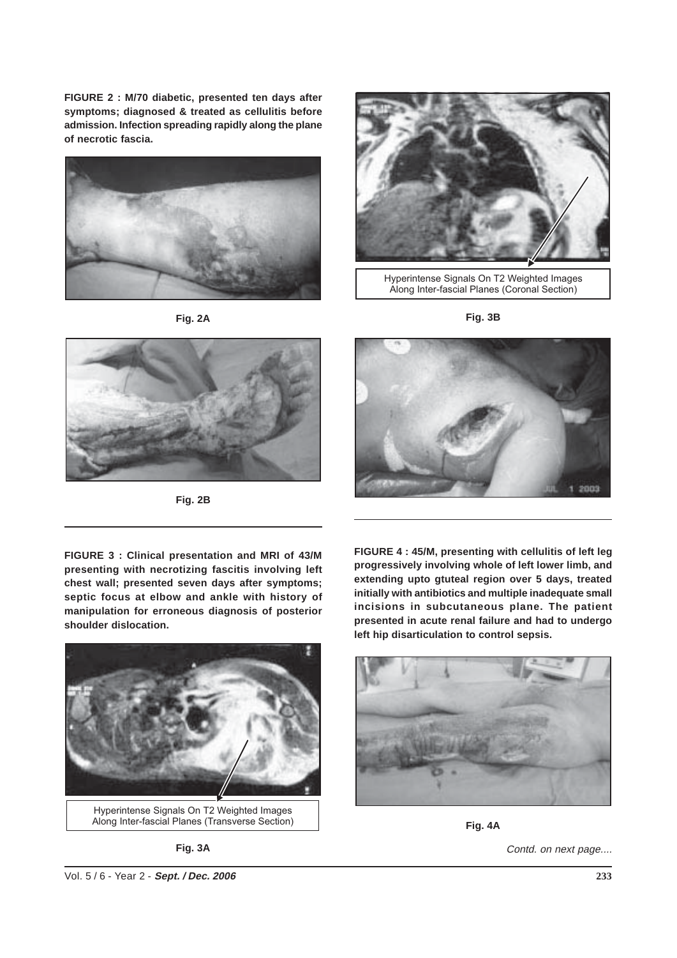**FIGURE 2 : M/70 diabetic, presented ten days after symptoms; diagnosed & treated as cellulitis before admission. Infection spreading rapidly along the plane of necrotic fascia.**



**Fig. 2A**



Hyperintense Signals On T2 Weighted Images Along Inter-fascial Planes (Coronal Section)

**Fig. 3B**



**Fig. 2B**



**FIGURE 3 : Clinical presentation and MRI of 43/M presenting with necrotizing fascitis involving left chest wall; presented seven days after symptoms; septic focus at elbow and ankle with history of manipulation for erroneous diagnosis of posterior shoulder dislocation.**



Hyperintense Signals On T2 Weighted Images Along Inter-fascial Planes (Transverse Section)

**Fig. 3A**

**FIGURE 4 : 45/M, presenting with cellulitis of left leg progressively involving whole of left lower limb, and extending upto gtuteal region over 5 days, treated initially with antibiotics and multiple inadequate small incisions in subcutaneous plane. The patient presented in acute renal failure and had to undergo left hip disarticulation to control sepsis.**



**Fig. 4A**

Contd. on next page....

Vol. 5 / 6 - Year 2 - **Sept. / Dec. 2006**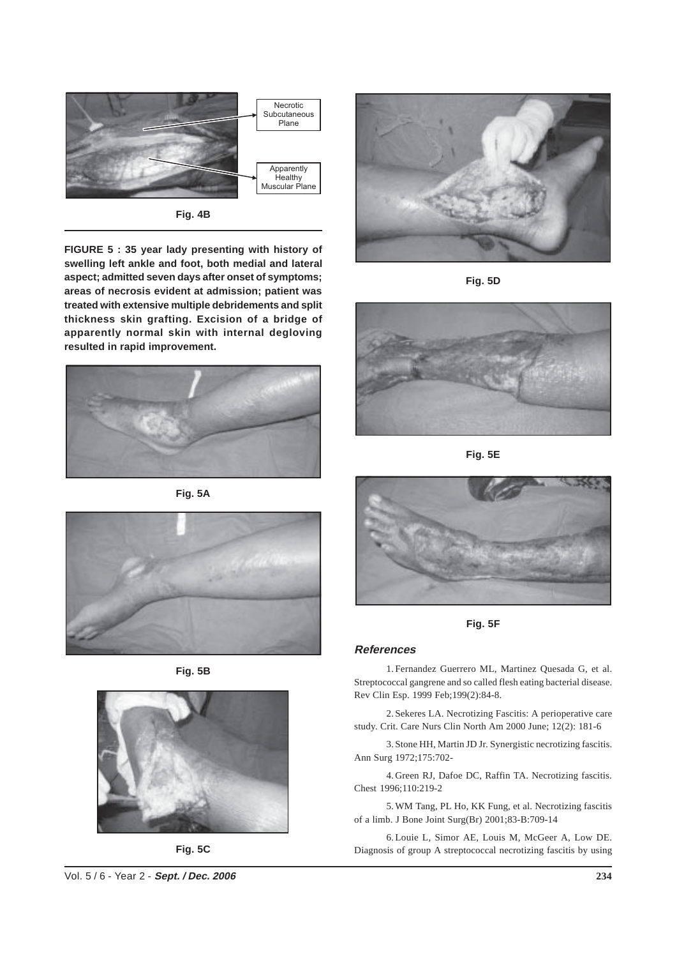

**Fig. 4B**

**FIGURE 5 : 35 year lady presenting with history of swelling left ankle and foot, both medial and lateral aspect; admitted seven days after onset of symptoms; areas of necrosis evident at admission; patient was treated with extensive multiple debridements and split thickness skin grafting. Excision of a bridge of apparently normal skin with internal degloving resulted in rapid improvement.**



**Fig. 5A**







**Fig. 5C**



**Fig. 5D**



**Fig. 5E**



**Fig. 5F**

#### **References**

1. Fernandez Guerrero ML, Martinez Quesada G, et al. Streptococcal gangrene and so called flesh eating bacterial disease. Rev Clin Esp. 1999 Feb;199(2):84-8.

2. Sekeres LA. Necrotizing Fascitis: A perioperative care study. Crit. Care Nurs Clin North Am 2000 June; 12(2): 181-6

3. Stone HH, Martin JD Jr. Synergistic necrotizing fascitis. Ann Surg 1972;175:702-

4. Green RJ, Dafoe DC, Raffin TA. Necrotizing fascitis. Chest 1996;110:219-2

5. WM Tang, PL Ho, KK Fung, et al. Necrotizing fascitis of a limb. J Bone Joint Surg(Br) 2001;83-B:709-14

6.Louie L, Simor AE, Louis M, McGeer A, Low DE. Diagnosis of group A streptococcal necrotizing fascitis by using